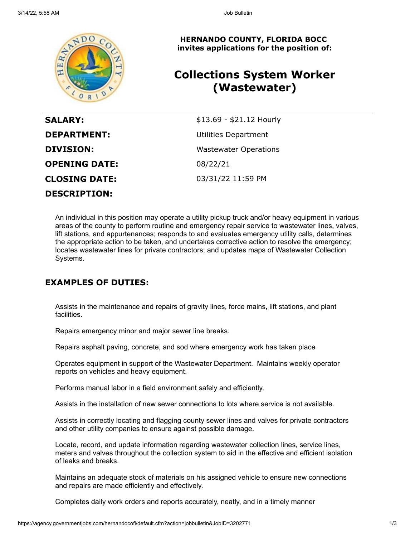

**HERNANDO COUNTY, FLORIDA BOCC invites applications for the position of:**

# **Collections System Worker (Wastewater)**

| <b>SALARY:</b>       | \$13.69 - \$21.12 Hourly     |
|----------------------|------------------------------|
| <b>DEPARTMENT:</b>   | Utilities Department         |
| <b>DIVISION:</b>     | <b>Wastewater Operations</b> |
| <b>OPENING DATE:</b> | 08/22/21                     |
| <b>CLOSING DATE:</b> | 03/31/22 11:59 PM            |
| <b>DESCRIPTION:</b>  |                              |

An individual in this position may operate a utility pickup truck and/or heavy equipment in various areas of the county to perform routine and emergency repair service to wastewater lines, valves, lift stations, and appurtenances; responds to and evaluates emergency utility calls, determines the appropriate action to be taken, and undertakes corrective action to resolve the emergency; locates wastewater lines for private contractors; and updates maps of Wastewater Collection Systems.

### **EXAMPLES OF DUTIES:**

Assists in the maintenance and repairs of gravity lines, force mains, lift stations, and plant facilities.

Repairs emergency minor and major sewer line breaks.

Repairs asphalt paving, concrete, and sod where emergency work has taken place

Operates equipment in support of the Wastewater Department. Maintains weekly operator reports on vehicles and heavy equipment.

Performs manual labor in a field environment safely and efficiently.

Assists in the installation of new sewer connections to lots where service is not available.

Assists in correctly locating and flagging county sewer lines and valves for private contractors and other utility companies to ensure against possible damage.

Locate, record, and update information regarding wastewater collection lines, service lines, meters and valves throughout the collection system to aid in the effective and efficient isolation of leaks and breaks.

Maintains an adequate stock of materials on his assigned vehicle to ensure new connections and repairs are made efficiently and effectively.

Completes daily work orders and reports accurately, neatly, and in a timely manner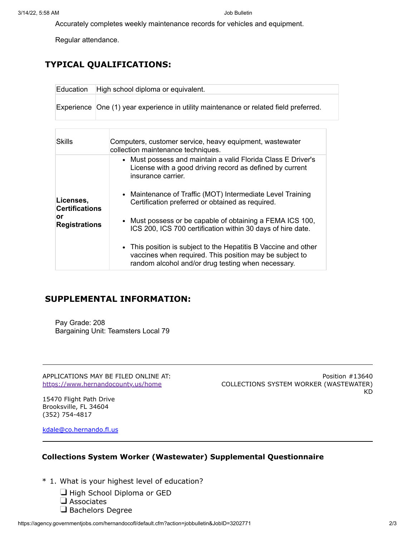Accurately completes weekly maintenance records for vehicles and equipment.

Regular attendance.

## **TYPICAL QUALIFICATIONS:**

| ⊺Education | High school diploma or equivalent.                                                    |
|------------|---------------------------------------------------------------------------------------|
|            | Experience One (1) year experience in utility maintenance or related field preferred. |

| Skills                                                           | Computers, customer service, heavy equipment, wastewater<br>collection maintenance techniques.                                                                                   |
|------------------------------------------------------------------|----------------------------------------------------------------------------------------------------------------------------------------------------------------------------------|
| Licenses,<br><b>Certifications</b><br>or<br><b>Registrations</b> | • Must possess and maintain a valid Florida Class E Driver's<br>License with a good driving record as defined by current<br>insurance carrier.                                   |
|                                                                  | • Maintenance of Traffic (MOT) Intermediate Level Training<br>Certification preferred or obtained as required.                                                                   |
|                                                                  | • Must possess or be capable of obtaining a FEMA ICS 100,<br>ICS 200, ICS 700 certification within 30 days of hire date.                                                         |
|                                                                  | • This position is subject to the Hepatitis B Vaccine and other<br>vaccines when required. This position may be subject to<br>random alcohol and/or drug testing when necessary. |

### **SUPPLEMENTAL INFORMATION:**

Pay Grade: 208 Bargaining Unit: Teamsters Local 79

APPLICATIONS MAY BE FILED ONLINE AT: <https://www.hernandocounty.us/home>

Position #13640 COLLECTIONS SYSTEM WORKER (WASTEWATER) KD

15470 Flight Path Drive Brooksville, FL 34604 (352) 754-4817

[kdale@co.hernando.fl.us](mailto:kdale@co.hernando.fl.us)

#### **Collections System Worker (Wastewater) Supplemental Questionnaire**

- \* 1. What is your highest level of education?
	- High School Diploma or GED
	- $\Box$  Associates
	- Bachelors Degree